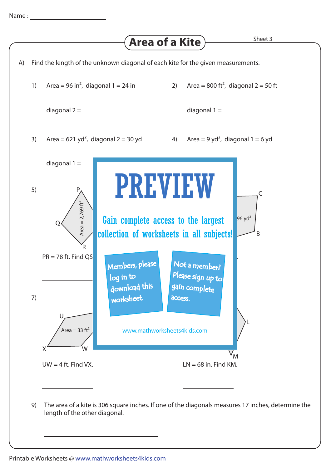